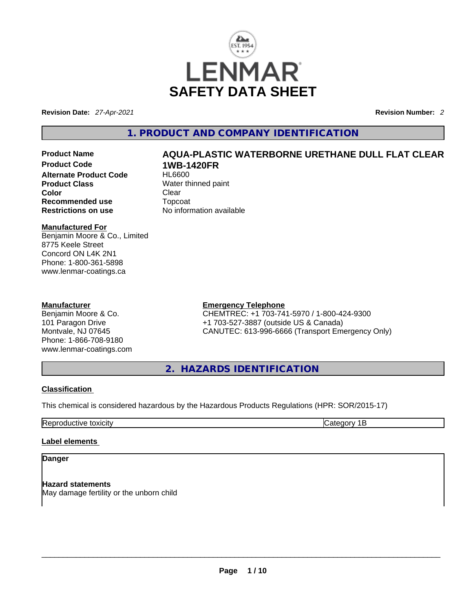

**Revision Date:** *27-Apr-2021* **Revision Number:** *2*

# **1. PRODUCT AND COMPANY IDENTIFICATION**

**Product Code 1WB-1420FR Alternate Product Code Product Class** Water thinned paint **Color** Clear Clear **Recommended use** Topcoat **Restrictions on use** No information available

# **Manufactured For**

Benjamin Moore & Co., Limited 8775 Keele Street Concord ON L4K 2N1 Phone: 1-800-361-5898 www.lenmar-coatings.ca

### **Manufacturer**

Benjamin Moore & Co. 101 Paragon Drive Montvale, NJ 07645 Phone: 1-866-708-9180 www.lenmar-coatings.com

# **Product Name AQUA-PLASTIC WATERBORNE URETHANE DULL FLAT CLEAR**

# **Emergency Telephone**

CHEMTREC: +1 703-741-5970 / 1-800-424-9300 +1 703-527-3887 (outside US & Canada) CANUTEC: 613-996-6666 (Transport Emergency Only)

**2. HAZARDS IDENTIFICATION** 

# **Classification**

This chemical is considered hazardous by the Hazardous Products Regulations (HPR: SOR/2015-17)

Reproductive toxicity **Category 1B** 

# **Label elements**

**Danger** 

**Hazard statements** May damage fertility or the unborn child<br> $\blacksquare$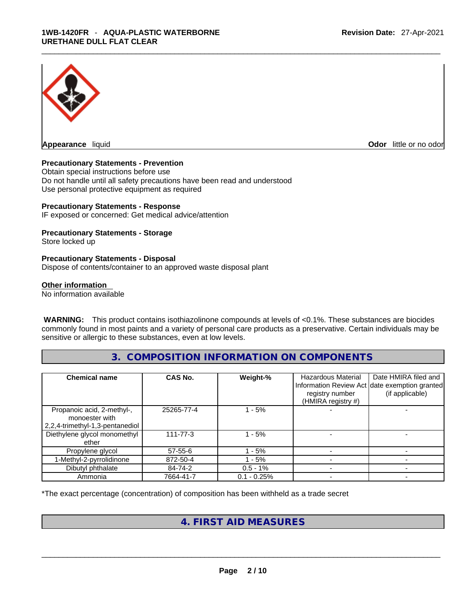

**Appearance** liquid **Odor 11** and **Odor 11** and **Odor 11** and **Odor 11** and **Odor 11** and **Odor** 11 and **Odor** 11 and **Odor** 11 and **Odor** 11 and **Odor** 11 and **Odor** 11 and **Odor** 11 and **Odor** 11 and **Odor** 11 and **Odor** 

### **Precautionary Statements - Prevention**

Obtain special instructions before use Do not handle until all safety precautions have been read and understood Use personal protective equipment as required

#### **Precautionary Statements - Response**

IF exposed or concerned: Get medical advice/attention

### **Precautionary Statements - Storage**

Store locked up

### **Precautionary Statements - Disposal**

Dispose of contents/container to an approved waste disposal plant

#### **Other information**

No information available

 **WARNING:** This product contains isothiazolinone compounds at levels of <0.1%. These substances are biocides commonly found in most paints and a variety of personal care products as a preservative. Certain individuals may be sensitive or allergic to these substances, even at low levels.

# **3. COMPOSITION INFORMATION ON COMPONENTS**

| <b>Chemical name</b>                                                            | <b>CAS No.</b> | Weight-%      | <b>Hazardous Material</b><br>registry number<br>(HMIRA registry #) | Date HMIRA filed and<br>Information Review Act date exemption granted<br>(if applicable) |
|---------------------------------------------------------------------------------|----------------|---------------|--------------------------------------------------------------------|------------------------------------------------------------------------------------------|
| Propanoic acid, 2-methyl-,<br>monoester with<br>2,2,4-trimethyl-1,3-pentanediol | 25265-77-4     | 1 - 5%        |                                                                    |                                                                                          |
| Diethylene glycol monomethyl<br>ether                                           | $111 - 77 - 3$ | $-5%$         |                                                                    |                                                                                          |
| Propylene glycol                                                                | $57 - 55 - 6$  | - 5%          |                                                                    |                                                                                          |
| 1-Methyl-2-pyrrolidinone                                                        | 872-50-4       | $-5%$         |                                                                    |                                                                                          |
| Dibutyl phthalate                                                               | 84-74-2        | $0.5 - 1\%$   |                                                                    |                                                                                          |
| Ammonia                                                                         | 7664-41-7      | $0.1 - 0.25%$ |                                                                    |                                                                                          |

\*The exact percentage (concentration) of composition has been withheld as a trade secret

# **4. FIRST AID MEASURES**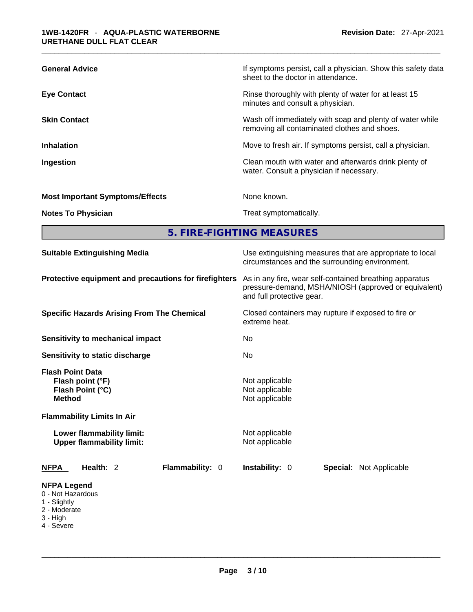| <b>General Advice</b>                  | If symptoms persist, call a physician. Show this safety data<br>sheet to the doctor in attendance.       |
|----------------------------------------|----------------------------------------------------------------------------------------------------------|
| <b>Eye Contact</b>                     | Rinse thoroughly with plenty of water for at least 15<br>minutes and consult a physician.                |
| <b>Skin Contact</b>                    | Wash off immediately with soap and plenty of water while<br>removing all contaminated clothes and shoes. |
| <b>Inhalation</b>                      | Move to fresh air. If symptoms persist, call a physician.                                                |
| Ingestion                              | Clean mouth with water and afterwards drink plenty of<br>water. Consult a physician if necessary.        |
| <b>Most Important Symptoms/Effects</b> | None known.                                                                                              |
| <b>Notes To Physician</b>              | Treat symptomatically.                                                                                   |

**5. FIRE-FIGHTING MEASURES** 

| <b>Suitable Extinguishing Media</b>                                                                                   | Use extinguishing measures that are appropriate to local<br>circumstances and the surrounding environment.                                   |  |  |  |
|-----------------------------------------------------------------------------------------------------------------------|----------------------------------------------------------------------------------------------------------------------------------------------|--|--|--|
| Protective equipment and precautions for firefighters                                                                 | As in any fire, wear self-contained breathing apparatus<br>pressure-demand, MSHA/NIOSH (approved or equivalent)<br>and full protective gear. |  |  |  |
| <b>Specific Hazards Arising From The Chemical</b>                                                                     | Closed containers may rupture if exposed to fire or<br>extreme heat.                                                                         |  |  |  |
| Sensitivity to mechanical impact                                                                                      | No                                                                                                                                           |  |  |  |
| Sensitivity to static discharge                                                                                       | No.                                                                                                                                          |  |  |  |
| <b>Flash Point Data</b><br>Flash point (°F)<br>Flash Point (°C)<br><b>Method</b><br><b>Flammability Limits In Air</b> | Not applicable<br>Not applicable<br>Not applicable                                                                                           |  |  |  |
| Lower flammability limit:<br><b>Upper flammability limit:</b>                                                         | Not applicable<br>Not applicable                                                                                                             |  |  |  |
| Health: 2<br>Flammability: 0<br><b>NFPA</b>                                                                           | <b>Instability: 0</b><br><b>Special: Not Applicable</b>                                                                                      |  |  |  |
| <b>NFPA Legend</b><br>0 - Not Hazardous<br>1 - Slightly<br>2 - Moderate<br>3 - High<br>4 - Severe                     |                                                                                                                                              |  |  |  |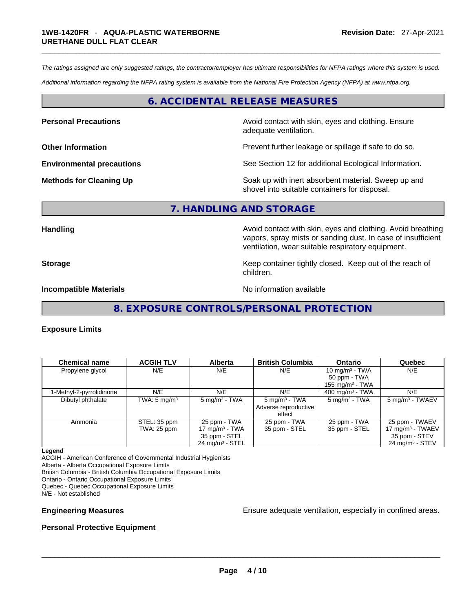*The ratings assigned are only suggested ratings, the contractor/employer has ultimate responsibilities for NFPA ratings where this system is used.* 

*Additional information regarding the NFPA rating system is available from the National Fire Protection Agency (NFPA) at www.nfpa.org.* 

# **6. ACCIDENTAL RELEASE MEASURES**

**Personal Precautions Avoid contact with skin, eyes and clothing. Ensure Personal Precautions** adequate ventilation.

**Other Information Department Information Department Information Prevent further leakage or spillage if safe to do so.** 

**Environmental precautions** See Section 12 for additional Ecological Information.

**Methods for Cleaning Up Example 20 Soak** up with inert absorbent material. Sweep up and shovel into suitable containers for disposal.

#### **7. HANDLING AND STORAGE**

**Handling Handling Avoid contact with skin, eyes and clothing. Avoid breathing** vapors, spray mists or sanding dust. In case of insufficient ventilation, wear suitable respiratory equipment.

**Storage Storage Keep container tightly closed. Keep out of the reach of <b>Storage Keep** out of the reach of children.

**Incompatible Materials Incompatible Materials No information available** 

**8. EXPOSURE CONTROLS/PERSONAL PROTECTION** 

#### **Exposure Limits**

| <b>Chemical name</b>     | <b>ACGIH TLV</b>        | <b>Alberta</b>             | <b>British Columbia</b>        | <b>Ontario</b>           | Quebec                        |
|--------------------------|-------------------------|----------------------------|--------------------------------|--------------------------|-------------------------------|
| Propylene glycol         | N/E                     | N/E                        | N/E                            | 10 mg/m $3$ - TWA        | N/E                           |
|                          |                         |                            |                                | 50 ppm - TWA             |                               |
|                          |                         |                            |                                | 155 mg/m $3$ - TWA       |                               |
| 1-Methyl-2-pyrrolidinone | N/E                     | N/E                        | N/E                            | 400 mg/m $3$ - TWA       | N/E                           |
| Dibutyl phthalate        | TWA: $5 \text{ mg/m}^3$ | $5 \text{ mg/m}^3$ - TWA   | $5 \text{ mg/m}^3$ - TWA       | $5 \text{ mg/m}^3$ - TWA | 5 mg/m <sup>3</sup> - TWAEV   |
|                          |                         |                            | Adverse reproductive<br>effect |                          |                               |
| Ammonia                  | STEL: 35 ppm            | 25 ppm - TWA               | 25 ppm - TWA                   | 25 ppm - TWA             | 25 ppm - TWAEV                |
|                          | TWA: 25 ppm             | 17 mg/m $3$ - TWA          | 35 ppm - STEL                  | 35 ppm - STEL            | 17 mg/m <sup>3</sup> - TWAEV  |
|                          |                         | 35 ppm - STEL              |                                |                          | 35 ppm - STEV                 |
|                          |                         | $24 \text{ mg/m}^3$ - STEL |                                |                          | $24$ mg/m <sup>3</sup> - STEV |

#### **Legend**

ACGIH - American Conference of Governmental Industrial Hygienists Alberta - Alberta Occupational Exposure Limits British Columbia - British Columbia Occupational Exposure Limits Ontario - Ontario Occupational Exposure Limits Quebec - Quebec Occupational Exposure Limits

N/E - Not established

**Engineering Measures** Ensure adequate ventilation, especially in confined areas.

#### **Personal Protective Equipment**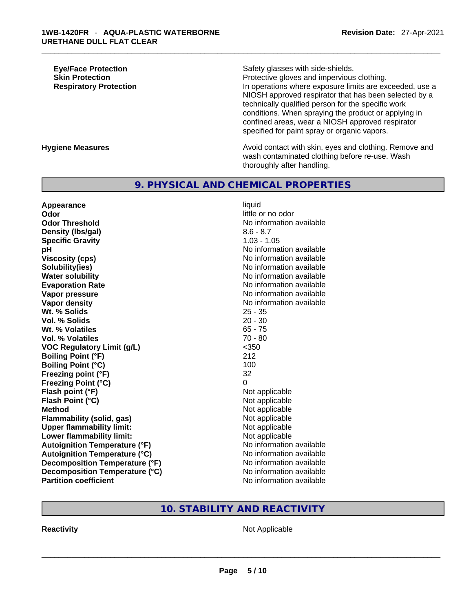**Eye/Face Protection Safety glasses with side-shields. Skin Protection Protection Protective gloves and impervious clothing. Respiratory Protection In operations where exposure limits are exceeded, use a** NIOSH approved respirator that has been selected by a technically qualified person for the specific work conditions. When spraying the product or applying in confined areas, wear a NIOSH approved respirator specified for paint spray or organic vapors.

**Hygiene Measures Avoid contact with skin, eyes and clothing. Remove and Avoid contact with skin, eyes and clothing. Remove and Avoid contact with skin, eyes and clothing. Remove and** wash contaminated clothing before re-use. Wash thoroughly after handling.

# **9. PHYSICAL AND CHEMICAL PROPERTIES**

**Appearance** liquid **Odor Odor little or no odor little or no odor Odor Threshold** No information available **Density (lbs/gal)** 8.6 - 8.7 **Specific Gravity** 1.03 - 1.05 **pH pH** *No* information available **Viscosity (cps) Viscosity (cps) No information available Solubility(ies)** No information available **Water solubility No information available No information available Evaporation Rate No information available No information available Vapor pressure**  No information available **No information** available **Vapor density No information available No information available Wt. % Solids** 25 - 35 **Vol. % Solids** 20 - 30 **Wt. % Volatiles** 65 - 75 **Vol. % Volatiles** 70 - 80 **VOC Regulatory Limit (g/L)** <350 **Boiling Point (°F)** 212 **Boiling Point**  $(^{\circ}C)$  100 **Freezing point (°F)** 32 **Freezing Point (°C)** 0 **Flash point (°F)**<br> **Flash Point (°C)**<br> **Flash Point (°C)**<br> **Not** applicable **Flash Point (°C) Method** Not applicable **Flammability (solid, gas)** Not applicable **Upper flammability limit:** Not applicable **Lower flammability limit:** Not applicable **Autoignition Temperature (°F)** No information available **Autoignition Temperature (°C)** No information available **Decomposition Temperature (°F)** No information available **Decomposition Temperature (°C)**<br> **Partition coefficient**<br> **Partition coefficient**<br> **No** information available

**No information available** 

# **10. STABILITY AND REACTIVITY**

**Reactivity** Not Applicable \_\_\_\_\_\_\_\_\_\_\_\_\_\_\_\_\_\_\_\_\_\_\_\_\_\_\_\_\_\_\_\_\_\_\_\_\_\_\_\_\_\_\_\_\_\_\_\_\_\_\_\_\_\_\_\_\_\_\_\_\_\_\_\_\_\_\_\_\_\_\_\_\_\_\_\_\_\_\_\_\_\_\_\_\_\_\_\_\_\_\_\_\_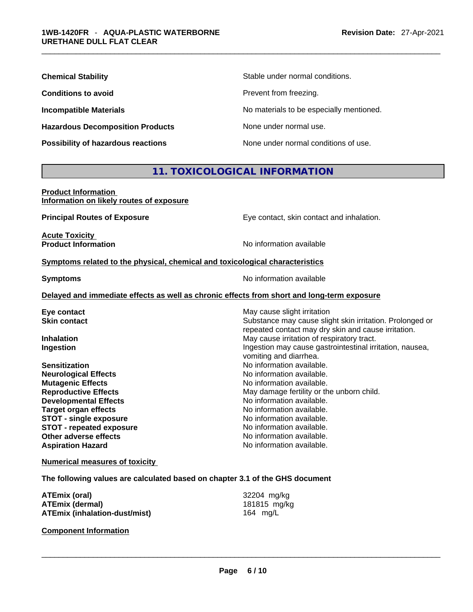| <b>Chemical Stability</b>               | Stable under normal conditions.          |
|-----------------------------------------|------------------------------------------|
| <b>Conditions to avoid</b>              | Prevent from freezing.                   |
| <b>Incompatible Materials</b>           | No materials to be especially mentioned. |
| <b>Hazardous Decomposition Products</b> | None under normal use.                   |
| Possibility of hazardous reactions      | None under normal conditions of use.     |

# **11. TOXICOLOGICAL INFORMATION**

| <b>Product Information</b>               |  |
|------------------------------------------|--|
| Information on likely routes of exposure |  |

**Principal Routes of Exposure** Eye contact, skin contact and inhalation.

**Acute Toxicity<br>Product Information** 

**No information available** 

#### **<u>Symptoms related to the physical, chemical and toxicological characteristics</u>**

**Symptoms Symptoms No information available** 

### **Delayed and immediate effects as well as chronic effects from short and long-term exposure**

| May cause slight irritation                                                                                     |
|-----------------------------------------------------------------------------------------------------------------|
| Substance may cause slight skin irritation. Prolonged or<br>repeated contact may dry skin and cause irritation. |
| May cause irritation of respiratory tract.                                                                      |
| Ingestion may cause gastrointestinal irritation, nausea,<br>vomiting and diarrhea.                              |
| No information available.                                                                                       |
| No information available.                                                                                       |
| No information available.                                                                                       |
| May damage fertility or the unborn child.                                                                       |
| No information available.                                                                                       |
| No information available.                                                                                       |
| No information available.                                                                                       |
| No information available.                                                                                       |
| No information available.                                                                                       |
| No information available.                                                                                       |
|                                                                                                                 |

#### **Numerical measures of toxicity**

#### **The following values are calculated based on chapter 3.1 of the GHS document**

| ATEmix (oral)                        | 32204 mg/kg  |
|--------------------------------------|--------------|
| <b>ATEmix (dermal)</b>               | 181815 mg/kg |
| <b>ATEmix (inhalation-dust/mist)</b> | 164 ma/L     |

**Component Information**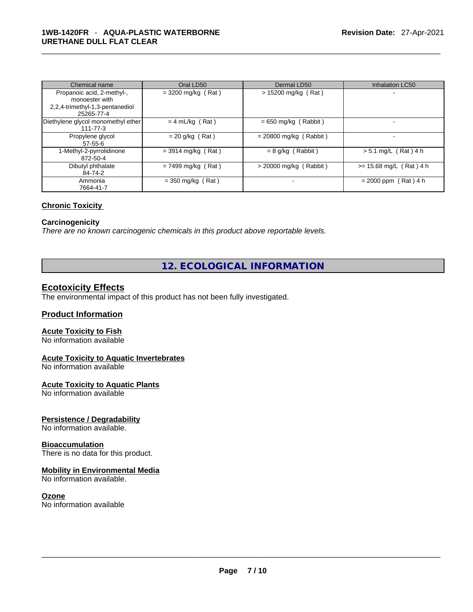| Chemical name                      | Oral LD50            | Dermal LD50              | <b>Inhalation LC50</b>    |
|------------------------------------|----------------------|--------------------------|---------------------------|
| Propanoic acid, 2-methyl-,         | $=$ 3200 mg/kg (Rat) | $> 15200$ mg/kg (Rat)    |                           |
| monoester with                     |                      |                          |                           |
| 2,2,4-trimethyl-1,3-pentanediol    |                      |                          |                           |
| 25265-77-4                         |                      |                          |                           |
| Diethylene glycol monomethyl ether | $= 4$ mL/kg (Rat)    | $= 650$ mg/kg (Rabbit)   | $\overline{\phantom{0}}$  |
| 111-77-3                           |                      |                          |                           |
| Propylene glycol                   | $= 20$ g/kg (Rat)    | $= 20800$ mg/kg (Rabbit) | $\,$                      |
| $57 - 55 - 6$                      |                      |                          |                           |
| 1-Methyl-2-pyrrolidinone           | $=$ 3914 mg/kg (Rat) | $= 8$ g/kg (Rabbit)      | $> 5.1$ mg/L (Rat) 4 h    |
| 872-50-4                           |                      |                          |                           |
| Dibutyl phthalate                  | $= 7499$ mg/kg (Rat) | $>$ 20000 mg/kg (Rabbit) | $>= 15.68$ mg/L (Rat) 4 h |
| 84-74-2                            |                      |                          |                           |
| Ammonia                            | $=$ 350 mg/kg (Rat)  |                          | $= 2000$ ppm (Rat) 4 h    |
| 7664-41-7                          |                      |                          |                           |

#### **Chronic Toxicity**

### **Carcinogenicity**

*There are no known carcinogenic chemicals in this product above reportable levels.* 

# **12. ECOLOGICAL INFORMATION**

# **Ecotoxicity Effects**

The environmental impact of this product has not been fully investigated.

### **Product Information**

### **Acute Toxicity to Fish**

No information available

#### **Acute Toxicity to Aquatic Invertebrates**

No information available

#### **Acute Toxicity to Aquatic Plants**

No information available

# **Persistence / Degradability**

No information available.

#### **Bioaccumulation**

There is no data for this product.

#### **Mobility in Environmental Media**

No information available.

#### **Ozone**

No information available \_\_\_\_\_\_\_\_\_\_\_\_\_\_\_\_\_\_\_\_\_\_\_\_\_\_\_\_\_\_\_\_\_\_\_\_\_\_\_\_\_\_\_\_\_\_\_\_\_\_\_\_\_\_\_\_\_\_\_\_\_\_\_\_\_\_\_\_\_\_\_\_\_\_\_\_\_\_\_\_\_\_\_\_\_\_\_\_\_\_\_\_\_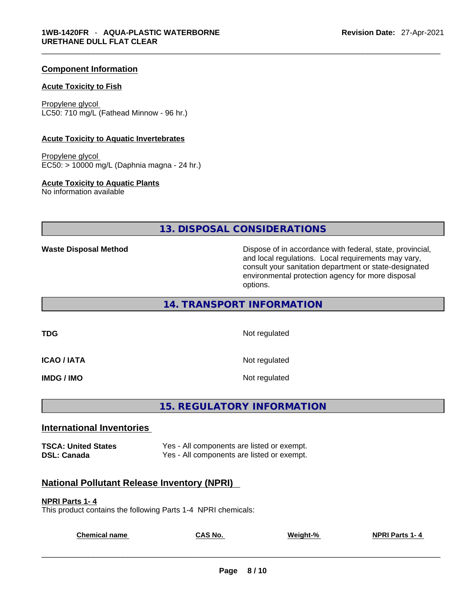### **Component Information**

#### **Acute Toxicity to Fish**

Propylene glycol LC50: 710 mg/L (Fathead Minnow - 96 hr.)

#### **Acute Toxicity to Aquatic Invertebrates**

Propylene glycol EC50: > 10000 mg/L (Daphnia magna - 24 hr.)

#### **Acute Toxicity to Aquatic Plants**

No information available

**13. DISPOSAL CONSIDERATIONS** 

**Waste Disposal Method** Dispose of in accordance with federal, state, provincial, and local regulations. Local requirements may vary, consult your sanitation department or state-designated environmental protection agency for more disposal options.

**14. TRANSPORT INFORMATION** 

**TDG** Not regulated

**ICAO / IATA** Not regulated

**IMDG / IMO Not regulated** 

**15. REGULATORY INFORMATION** 

#### **International Inventories**

**TSCA: United States** Yes - All components are listed or exempt. **DSL: Canada Ves - All components are listed or exempt.** 

# **National Pollutant Release Inventory (NPRI)**

#### **NPRI Parts 1- 4**

This product contains the following Parts 1-4 NPRI chemicals:

| <b>Chemical name</b> | <b>CAS No.</b> | Weight-% | <b>NPRI Parts 1-4</b> |  |
|----------------------|----------------|----------|-----------------------|--|
|                      |                |          |                       |  |
|                      |                |          |                       |  |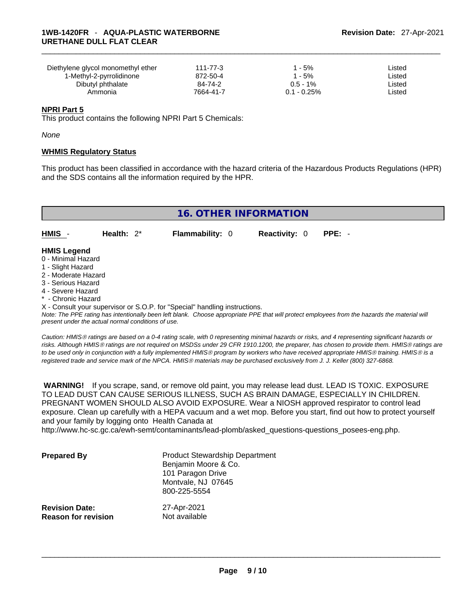| Diethylene glycol monomethyl ether | 111-77-3  | ' - 5%           | ∟isted |
|------------------------------------|-----------|------------------|--------|
| 1-Methyl-2-pyrrolidinone           | 872-50-4  | $1 - 5%$         | ∟isted |
| Dibutyl phthalate                  | 84-74-2   | $0.5 - 1\%$      | ∟isted |
| Ammonia                            | 7664-41-7 | $0.1$ - $0.25\%$ | ∟isted |

#### **NPRI Part 5**

This product contains the following NPRI Part 5 Chemicals:

*None*

#### **WHMIS Regulatory Status**

This product has been classified in accordance with the hazard criteria of the Hazardous Products Regulations (HPR) and the SDS contains all the information required by the HPR.

|                                          | <b>16. OTHER INFORMATION</b> |                        |                      |          |  |  |
|------------------------------------------|------------------------------|------------------------|----------------------|----------|--|--|
| HMIS -                                   | Health: $2^*$                | <b>Flammability: 0</b> | <b>Reactivity: 0</b> | $PPE: -$ |  |  |
| <b>HMIS Legend</b><br>0 - Minimal Hazard |                              |                        |                      |          |  |  |
| 1 - Slight Hazard<br>2 - Moderate Hazard |                              |                        |                      |          |  |  |

- 
- 3 Serious Hazard
- 4 Severe Hazard
- **Chronic Hazard**

X - Consult your supervisor or S.O.P. for "Special" handling instructions.

Note: The PPE rating has intentionally been left blank. Choose appropriate PPE that will protect employees from the hazards the material will *present under the actual normal conditions of use.* 

*Caution: HMISÒ ratings are based on a 0-4 rating scale, with 0 representing minimal hazards or risks, and 4 representing significant hazards or risks. Although HMISÒ ratings are not required on MSDSs under 29 CFR 1910.1200, the preparer, has chosen to provide them. HMISÒ ratings are to be used only in conjunction with a fully implemented HMISÒ program by workers who have received appropriate HMISÒ training. HMISÒ is a registered trade and service mark of the NPCA. HMISÒ materials may be purchased exclusively from J. J. Keller (800) 327-6868.* 

 **WARNING!** If you scrape, sand, or remove old paint, you may release lead dust. LEAD IS TOXIC. EXPOSURE TO LEAD DUST CAN CAUSE SERIOUS ILLNESS, SUCH AS BRAIN DAMAGE, ESPECIALLY IN CHILDREN. PREGNANT WOMEN SHOULD ALSO AVOID EXPOSURE.Wear a NIOSH approved respirator to control lead exposure. Clean up carefully with a HEPA vacuum and a wet mop. Before you start, find out how to protect yourself and your family by logging onto Health Canada at

http://www.hc-sc.gc.ca/ewh-semt/contaminants/lead-plomb/asked\_questions-questions\_posees-eng.php.

| <b>Prepared By</b>         | <b>Product Stewardship Department</b><br>Benjamin Moore & Co.<br>101 Paragon Drive<br>Montvale, NJ 07645<br>800-225-5554 |
|----------------------------|--------------------------------------------------------------------------------------------------------------------------|
| <b>Revision Date:</b>      | 27-Apr-2021                                                                                                              |
| <b>Reason for revision</b> | Not available                                                                                                            |